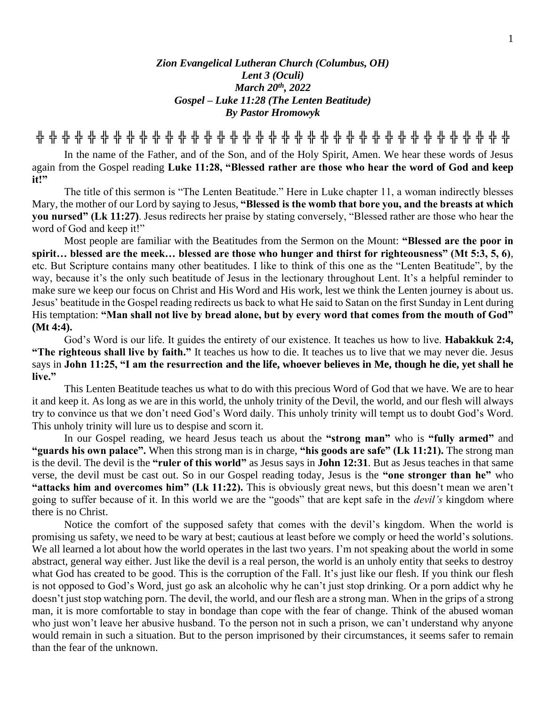## *Zion Evangelical Lutheran Church (Columbus, OH) Lent 3 (Oculi) March 20 th , 2022 Gospel – Luke 11:28 (The Lenten Beatitude) By Pastor Hromowyk*

**╬ ╬ ╬ ╬ ╬ ╬ ╬ ╬ ╬ ╬ ╬ ╬ ╬ ╬ ╬ ╬ ╬ ╬ ╬ ╬ ╬ ╬ ╬ ╬ ╬ ╬ ╬ ╬ ╬ ╬ ╬ ╬ ╬ ╬ ╬ ╬ ╬**

In the name of the Father, and of the Son, and of the Holy Spirit, Amen. We hear these words of Jesus again from the Gospel reading **Luke 11:28, "Blessed rather are those who hear the word of God and keep**  it!"

The title of this sermon is "The Lenten Beatitude." Here in Luke chapter 11, a woman indirectly blesses Mary, the mother of our Lord by saying to Jesus, **"Blessed is the womb that bore you, and the breasts at which you nursed" (Lk 11:27)**. Jesus redirects her praise by stating conversely, "Blessed rather are those who hear the word of God and keep it!"

Most people are familiar with the Beatitudes from the Sermon on the Mount: **"Blessed are the poor in spirit… blessed are the meek… blessed are those who hunger and thirst for righteousness" (Mt 5:3, 5, 6)**, etc. But Scripture contains many other beatitudes. I like to think of this one as the "Lenten Beatitude", by the way, because it's the only such beatitude of Jesus in the lectionary throughout Lent. It's a helpful reminder to make sure we keep our focus on Christ and His Word and His work, lest we think the Lenten journey is about us. Jesus' beatitude in the Gospel reading redirects us back to what He said to Satan on the first Sunday in Lent during His temptation: **"Man shall not live by bread alone, but by every word that comes from the mouth of God" (Mt 4:4).**

God's Word is our life. It guides the entirety of our existence. It teaches us how to live. **Habakkuk 2:4, "The righteous shall live by faith."** It teaches us how to die. It teaches us to live that we may never die. Jesus says in **John 11:25, "I am the resurrection and the life, whoever believes in Me, though he die, yet shall he live."**

This Lenten Beatitude teaches us what to do with this precious Word of God that we have. We are to hear it and keep it. As long as we are in this world, the unholy trinity of the Devil, the world, and our flesh will always try to convince us that we don't need God's Word daily. This unholy trinity will tempt us to doubt God's Word. This unholy trinity will lure us to despise and scorn it.

In our Gospel reading, we heard Jesus teach us about the **"strong man"** who is **"fully armed"** and **"guards his own palace".** When this strong man is in charge, **"his goods are safe" (Lk 11:21).** The strong man is the devil. The devil is the **"ruler of this world"** as Jesus says in **John 12:31**. But as Jesus teaches in that same verse, the devil must be cast out. So in our Gospel reading today, Jesus is the **"one stronger than he"** who **"attacks him and overcomes him" (Lk 11:22).** This is obviously great news, but this doesn't mean we aren't going to suffer because of it. In this world we are the "goods" that are kept safe in the *devil's* kingdom where there is no Christ.

Notice the comfort of the supposed safety that comes with the devil's kingdom. When the world is promising us safety, we need to be wary at best; cautious at least before we comply or heed the world's solutions. We all learned a lot about how the world operates in the last two years. I'm not speaking about the world in some abstract, general way either. Just like the devil is a real person, the world is an unholy entity that seeks to destroy what God has created to be good. This is the corruption of the Fall. It's just like our flesh. If you think our flesh is not opposed to God's Word, just go ask an alcoholic why he can't just stop drinking. Or a porn addict why he doesn't just stop watching porn. The devil, the world, and our flesh are a strong man. When in the grips of a strong man, it is more comfortable to stay in bondage than cope with the fear of change. Think of the abused woman who just won't leave her abusive husband. To the person not in such a prison, we can't understand why anyone would remain in such a situation. But to the person imprisoned by their circumstances, it seems safer to remain than the fear of the unknown.